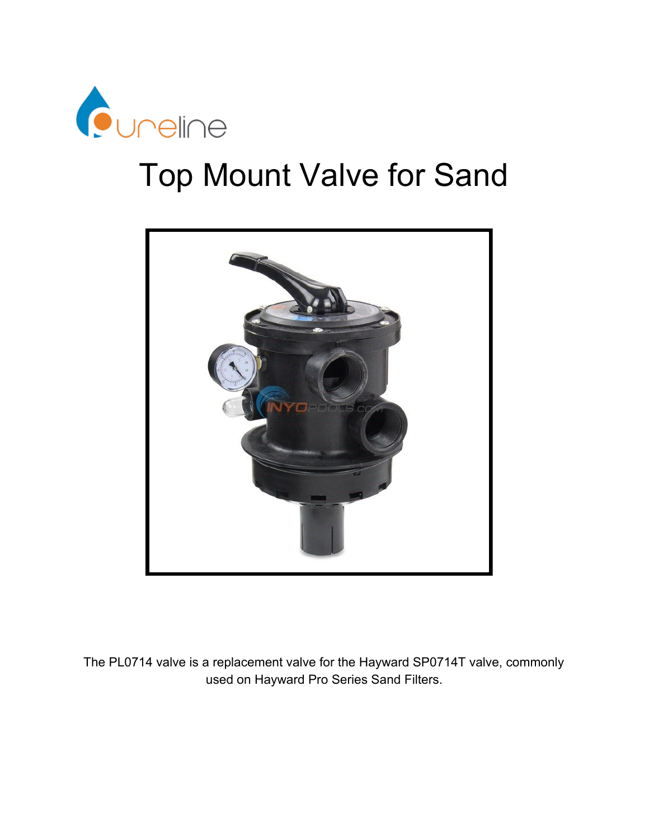

# Top Mount Valve for Sand



The PL0714 valve is a replacement valve for the Hayward SP0714T valve, commonly used on Hayward Pro Series Sand Filters.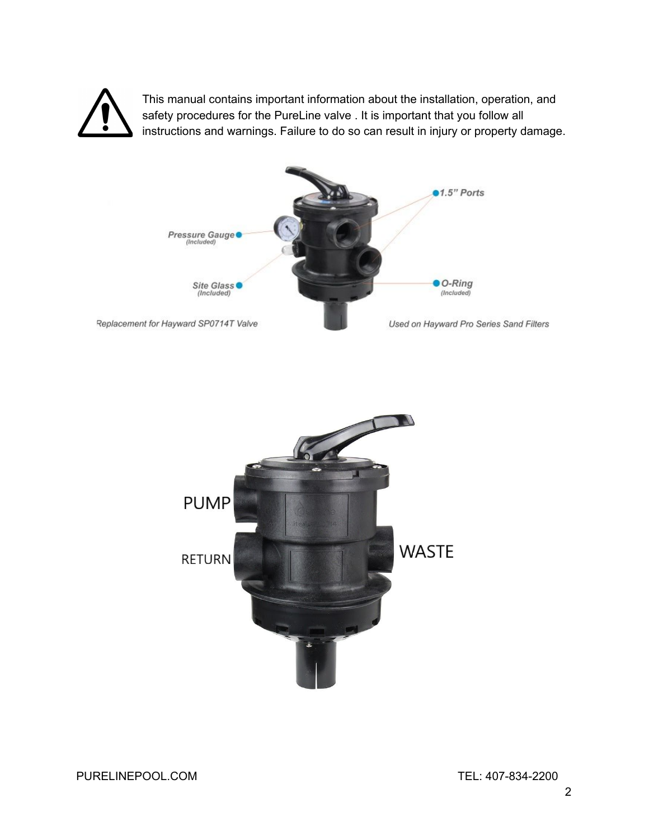

This manual contains important information about the installation, operation, and safety procedures for the PureLine valve . It is important that you follow all instructions and warnings. Failure to do so can result in injury or property damage.



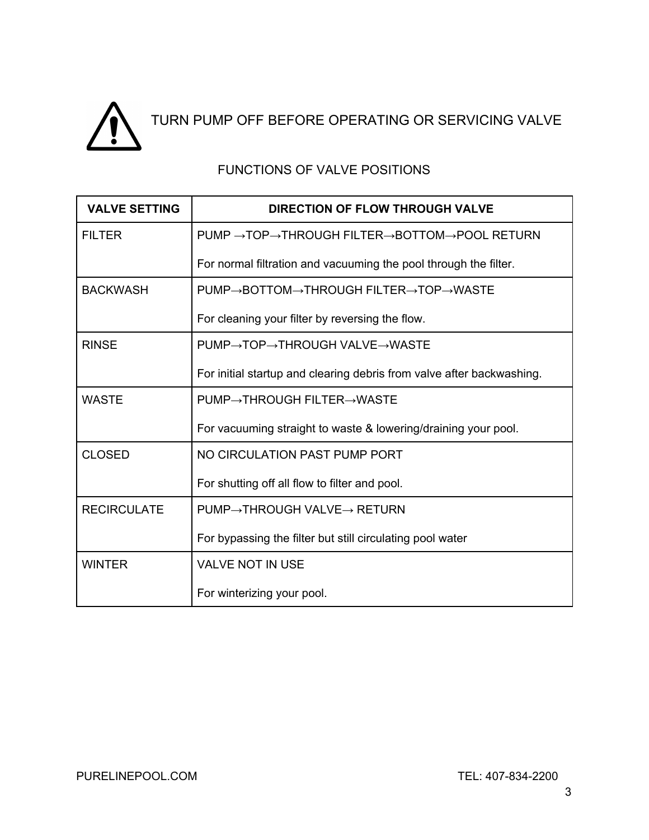

## FUNCTIONS OF VALVE POSITIONS

| <b>VALVE SETTING</b> | <b>DIRECTION OF FLOW THROUGH VALVE</b>                                |
|----------------------|-----------------------------------------------------------------------|
| <b>FILTER</b>        | PUMP →TOP→THROUGH FILTER→BOTTOM→POOL RETURN                           |
|                      | For normal filtration and vacuuming the pool through the filter.      |
| <b>BACKWASH</b>      | PUMP→BOTTOM→THROUGH FILTER→TOP→WASTE                                  |
|                      | For cleaning your filter by reversing the flow.                       |
| <b>RINSE</b>         | PUMP→TOP→THROUGH VALVE→WASTE                                          |
|                      | For initial startup and clearing debris from valve after backwashing. |
| <b>WASTE</b>         | PUMP→THROUGH FILTER→WASTE                                             |
|                      | For vacuuming straight to waste & lowering/draining your pool.        |
| <b>CLOSED</b>        | NO CIRCULATION PAST PUMP PORT                                         |
|                      | For shutting off all flow to filter and pool.                         |
| <b>RECIRCULATE</b>   | $PUMP \rightarrow THROUGH VALUE \rightarrow RETURN$                   |
|                      | For bypassing the filter but still circulating pool water             |
| <b>WINTER</b>        | <b>VALVE NOT IN USE</b>                                               |
|                      | For winterizing your pool.                                            |